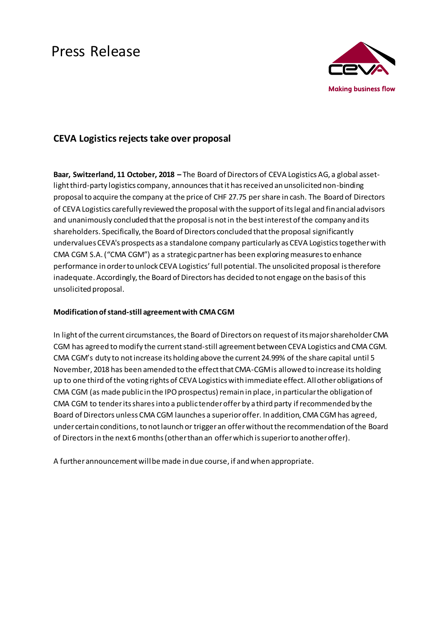# Press Release



# **CEVA Logistics rejects take over proposal**

**Baar, Switzerland, 11 October, 2018 –** The Board of Directors of CEVA Logistics AG, a global assetlight third-party logistics company, announces that it has received an unsolicited non-binding proposal to acquire the company at the price of CHF 27.75 per share in cash. The Board of Directors of CEVA Logistics carefully reviewed the proposal with the support of its legal and financial advisors and unanimously concluded that the proposal is not in the best interest of the company and its shareholders. Specifically, the Board of Directors concluded that the proposal significantly undervalues CEVA's prospects as a standalone company particularly as CEVA Logisticstogether with CMA CGM S.A. ("CMA CGM") as a strategic partner has been exploring measures to enhance performance in order to unlock CEVA Logistics' full potential. The unsolicited proposal is therefore inadequate. Accordingly, the Board of Directors has decided to not engage on the basis of this unsolicited proposal.

## **Modification of stand-still agreement with CMA CGM**

In light of the current circumstances, the Board of Directors on request of its major shareholder CMA CGM has agreed to modify the current stand-still agreement between CEVA Logistics and CMA CGM. CMA CGM's duty to not increase its holding above the current 24.99% of the share capital until 5 November, 2018 has been amended to the effect that CMA-CGM is allowed to increase its holding up to one third of the voting rights of CEVA Logistics with immediate effect. All other obligations of CMA CGM (as made public in the IPO prospectus) remain in place, in particular the obligation of CMA CGM to tender its shares into a public tender offer by a third party if recommended by the Board of Directors unless CMA CGM launches a superior offer. In addition, CMA CGM has agreed, under certain conditions,to not launch or trigger an offer without the recommendation of the Board of Directorsin the next 6 months (other than an offer which is superior to another offer).

A further announcement will be made in due course, if and when appropriate.